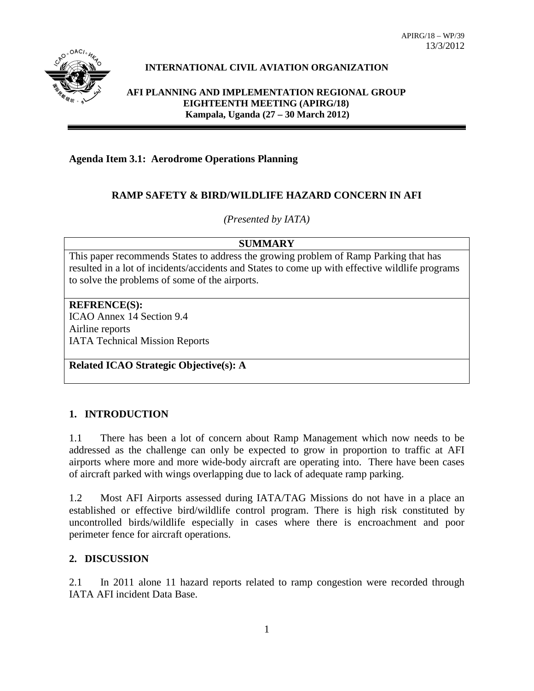

# **INTERNATIONAL CIVIL AVIATION ORGANIZATION**

#### **AFI PLANNING AND IMPLEMENTATION REGIONAL GROUP EIGHTEENTH MEETING (APIRG/18) Kampala, Uganda (27 – 30 March 2012)**

**Agenda Item 3.1: Aerodrome Operations Planning**

## **RAMP SAFETY & BIRD/WILDLIFE HAZARD CONCERN IN AFI**

*(Presented by IATA)*

## **SUMMARY**

This paper recommends States to address the growing problem of Ramp Parking that has resulted in a lot of incidents/accidents and States to come up with effective wildlife programs to solve the problems of some of the airports.

**REFRENCE(S):** ICAO Annex 14 Section 9.4 Airline reports IATA Technical Mission Reports

**Related ICAO Strategic Objective(s): A**

## **1. INTRODUCTION**

1.1 There has been a lot of concern about Ramp Management which now needs to be addressed as the challenge can only be expected to grow in proportion to traffic at AFI airports where more and more wide-body aircraft are operating into. There have been cases of aircraft parked with wings overlapping due to lack of adequate ramp parking.

1.2 Most AFI Airports assessed during IATA/TAG Missions do not have in a place an established or effective bird/wildlife control program. There is high risk constituted by uncontrolled birds/wildlife especially in cases where there is encroachment and poor perimeter fence for aircraft operations.

## **2. DISCUSSION**

2.1 In 2011 alone 11 hazard reports related to ramp congestion were recorded through IATA AFI incident Data Base.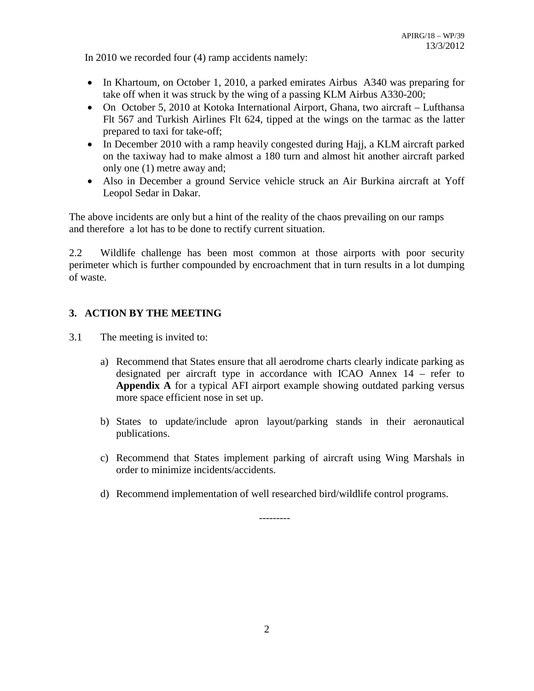In 2010 we recorded four (4) ramp accidents namely:

- In Khartoum, on October 1, 2010, a parked emirates Airbus A340 was preparing for take off when it was struck by the wing of a passing KLM Airbus A330-200;
- On October 5, 2010 at Kotoka International Airport, Ghana, two aircraft Lufthansa Flt 567 and Turkish Airlines Flt 624, tipped at the wings on the tarmac as the latter prepared to taxi for take-off;
- In December 2010 with a ramp heavily congested during Hajj, a KLM aircraft parked on the taxiway had to make almost a 180 turn and almost hit another aircraft parked only one (1) metre away and;
- Also in December a ground Service vehicle struck an Air Burkina aircraft at Yoff Leopol Sedar in Dakar.

The above incidents are only but a hint of the reality of the chaos prevailing on our ramps and therefore a lot has to be done to rectify current situation.

2.2 Wildlife challenge has been most common at those airports with poor security perimeter which is further compounded by encroachment that in turn results in a lot dumping of waste.

## **3. ACTION BY THE MEETING**

- 3.1 The meeting is invited to:
	- a) Recommend that States ensure that all aerodrome charts clearly indicate parking as designated per aircraft type in accordance with ICAO Annex 14 – refer to **Appendix A** for a typical AFI airport example showing outdated parking versus more space efficient nose in set up.
	- b) States to update/include apron layout/parking stands in their aeronautical publications.
	- c) Recommend that States implement parking of aircraft using Wing Marshals in order to minimize incidents/accidents.
	- d) Recommend implementation of well researched bird/wildlife control programs.

---------